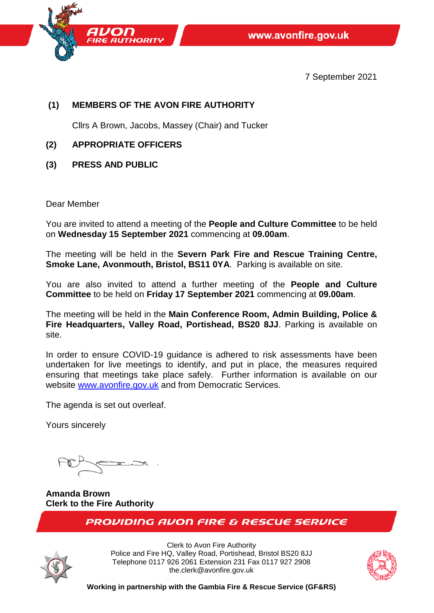

7 September 2021

# **(1) MEMBERS OF THE AVON FIRE AUTHORITY**

Cllrs A Brown, Jacobs, Massey (Chair) and Tucker

- **(2) APPROPRIATE OFFICERS**
- **(3) PRESS AND PUBLIC**

Dear Member

You are invited to attend a meeting of the **People and Culture Committee** to be held on **Wednesday 15 September 2021** commencing at **09.00am**.

The meeting will be held in the **Severn Park Fire and Rescue Training Centre, Smoke Lane, Avonmouth, Bristol, BS11 0YA**. Parking is available on site.

You are also invited to attend a further meeting of the **People and Culture Committee** to be held on **Friday 17 September 2021** commencing at **09.00am**.

The meeting will be held in the **Main Conference Room, Admin Building, Police & Fire Headquarters, Valley Road, Portishead, BS20 8JJ**. Parking is available on site.

In order to ensure COVID-19 guidance is adhered to risk assessments have been undertaken for live meetings to identify, and put in place, the measures required ensuring that meetings take place safely. Further information is available on our website [www.avonfire.gov.uk](http://www.avonfire.gov.uk/) and from Democratic Services.

The agenda is set out overleaf.

Yours sincerely

**Amanda Brown Clerk to the Fire Authority** 

**PROVIDING AVON FIRE & RESCUE SERVICE** 



Clerk to Avon Fire Authority Police and Fire HQ, Valley Road, Portishead, Bristol BS20 8JJ Telephone 0117 926 2061 Extension 231 Fax 0117 927 2908 the.clerk@avonfire.gov.uk



**Working in partnership with the Gambia Fire & Rescue Service (GF&RS)**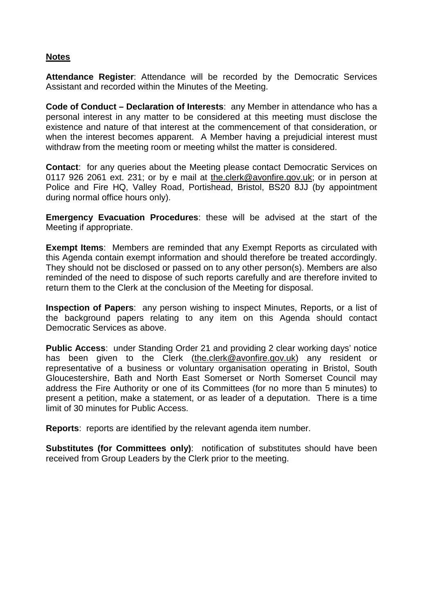### **Notes**

**Attendance Register**: Attendance will be recorded by the Democratic Services Assistant and recorded within the Minutes of the Meeting.

**Code of Conduct – Declaration of Interests**: any Member in attendance who has a personal interest in any matter to be considered at this meeting must disclose the existence and nature of that interest at the commencement of that consideration, or when the interest becomes apparent. A Member having a prejudicial interest must withdraw from the meeting room or meeting whilst the matter is considered.

**Contact**: for any queries about the Meeting please contact Democratic Services on 0117 926 2061 ext. 231; or by e mail at [the.clerk@avonfire.gov.uk;](mailto:the.clerk@avonfire.gov.uk) or in person at Police and Fire HQ, Valley Road, Portishead, Bristol, BS20 8JJ (by appointment during normal office hours only).

**Emergency Evacuation Procedures**: these will be advised at the start of the Meeting if appropriate.

**Exempt Items**: Members are reminded that any Exempt Reports as circulated with this Agenda contain exempt information and should therefore be treated accordingly. They should not be disclosed or passed on to any other person(s). Members are also reminded of the need to dispose of such reports carefully and are therefore invited to return them to the Clerk at the conclusion of the Meeting for disposal.

**Inspection of Papers**: any person wishing to inspect Minutes, Reports, or a list of the background papers relating to any item on this Agenda should contact Democratic Services as above.

**Public Access**: under Standing Order 21 and providing 2 clear working days' notice has been given to the Clerk [\(the.clerk@avonfire.gov.uk\)](mailto:the.clerk@avonfire.gov.uk) any resident or representative of a business or voluntary organisation operating in Bristol, South Gloucestershire, Bath and North East Somerset or North Somerset Council may address the Fire Authority or one of its Committees (for no more than 5 minutes) to present a petition, make a statement, or as leader of a deputation. There is a time limit of 30 minutes for Public Access.

**Reports**:reports are identified by the relevant agenda item number.

**Substitutes (for Committees only):** notification of substitutes should have been received from Group Leaders by the Clerk prior to the meeting.